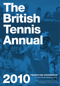# The BTTS1 Temnis Andal

# **FINANCE AND GOVERNANCE** FINANCE AND GOVERNANCE<br>The Lawn Tennis Association 2010<br>Produced in conjunction with the British Tennis Annual<br>COLORATION

Produced in conjunction with the British Tennis Annual 2010 available at: www.LTA.org.uk/Annual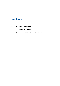# **Contents**

- 1 British Tennis Review of the Year
- 5 Corporate governance structure
- 10 Report and financial statements for the year ended 30th September 2010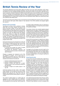## **British Tennis Review of the Year**

The financial statements and annual reports reflect the results of the Lawn Tennis Association ("LTA") Group, comprising the LTA and its direct operating subsidiaries. The LTA works closely with The Tennis Foundation ("TF") who delivers much into charitable activities around the development of tennis. Consequently, within this trading review, to present combined investment into British tennis by both parties, results are shown which includes joint LTA and TF activities. As this presentation does not reflect the legal structure or independence of the TF their results are excluded from the LTA group's results shown in the detailed financial statements. It is the view of the LTA that highlighting the TF's results within the gross income and expenditure better reflects the overall activity levels and investment within British tennis.

This Finance and Governance Report which incorporates the Financial Statements should be read in conjunction with The Annual which gives further details on key elements of the LTA's activities and progress against key measures.

#### **Business review and strategy**

The Blueprint for British Tennis, published in October 2006, sets out the vision, direction and plans for the future of the sport in Britain. The key elements of the Blueprint remain in place with a clear drive to establish a winning framework within British tennis whilst growing the sport at all levels by retaining and attracting new people to the sport. The Board review the strategy and the key measures to assess the performance of the business on a regular basis and not less than annually. The strategy and operating priorities for the next financial year are consistent with the achievement of the long-term goals and objectives and build on the progress made to date.

During the financial year, the principal focus of the LTA has remained unchanged and continues to concentrate on the delivery of the objectives laid down in the Blueprint. The organisation's activities focus on two key strands which are;

- • to promote and increase the number of people participating in the sport at all levels; and
- to provide the framework, resources and infrastructure to deliver success in the performance side of the sport.

Progress is assessed and measured via the LTA's key measures of success – two of which focus on participation and growth and two of which focus on talent development and performance. The LTA's key indicators and measures of success are;

- 1. Number of adults playing tennis each week
- 2. Number of regularly competing juniors
- 3. Number of juniors who meet the "A matrix" threshold based on their international rankings for their age group
- 4. Number of singles and doubles players in the top 100

Continued progress has been made in 2010 against these measures. All the measures have shown strong positive growth over the four year period since the Blueprint was published and in three out of the four measures there has been positive growth in the last 12 months.

The number of adults playing on a weekly basis (as measured by Sport England) grew from 493,500 to 506,700; the only one of the major five sports to show an annual growth over the last year. Tennis remains the

7th largest weekly participation sport as measured by Sport England (there is no corresponding data available for Scotland and Wales).

The number of juniors who compete regularly showed significant growth once again, increasing from 30,000 to 41,000 at the end of September 2010. Establishing this competitive framework and environment is essential in encouraging and retaining juniors and also adults within the sport. This measure has been identified as the key priority over the last four years resulting in the growth from 10,000 regularly competing juniors in 2007.

During 2010 the benchmark for talented junior players was raised. The target for "A matrix" players is set based on their international (ITF and Tennis Europe) rankings for their age. Substantial growth was achieved against these more challenging benchmarks, with the number of juniors reaching the "A matrix" threshold totalling 31 at the end of the year. This compared to 26 the previous year and is up from 18 in 2007.

The target for Top 100 players was set at eight for the year with three singles players and five doubles players. At 30 September 2010 there were two singles players and four doubles players in the top 100, although this has since increased back to five players reaching the top 100 in doubles.

#### **Group financial review**

In line with the long term financial plan, approved by the Board and Council of the LTA at the time of the Blueprint and updated each year, the LTA is currently investing more in tennis on an annual basis than the revenue it generates. The LTA is fully committed to managing its activity and expenditure on a long-term sustainable basis and part of this relates to managing the utilisation of its reserves and operating expenditure within clearly defined guidelines. The Board and Council aim to maintain an amount equivalent to the annual Wimbledon surplus within available reserves to insulate the LTA against any unexpected significant external factors. In recent years the Board and Council have felt it is sensible and prudent financial management to utilise a proportion of these reserves to meet the current objectives and accelerate the development strategy.

The underlying financial results of the LTA group, before the impact of results from joint ventures, show the net operating deficit reduced to £1.1m from £5.7m in 2009. The year on year reduction of £4.6m is consistent with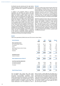the Board's long term planning and the main factors which contribute to this are an increase in LTA turnover of £3.0m combined with a reduction in expenditure of £1.6m.

In addition to the guidelines relating to operating expenditure the LTA Board and Council have also approved investment in capital facilities to be utilised against the facility projects reserve which has a balance of £6.4m at 30 September 2010 (2009: £6.6m). Total LTA and TF investment in new capital projects during 2010 was £5.2m (2009: £4.8m). During the year £3.9m was invested in projects from Sport England (2009: £1.7m), £0.2m was invested in capital projects via the projects reserve (2009: £1.5m) and £1.1m of new interest free loans were awarded to projects (2009: £1.6m). Grants and loans awarded by the LTA play a key role in making projects feasible but all projects funded by the LTA need to generate partnership funding alongside the LTA investment. It became clear in 2010 that the more limited availability of partnership funding locally, and lack of affordable finance, is impacting on the number of sustainable projects applying for funding. The impact of external and partnership funding constraints will continue to be closely monitored.

#### **Turnover**

There are a number of key revenue sources which fund the investment into British tennis. There are two key revenue definitions. The first of these is the combined income of the LTA and TE, which includes LTA turnover. investment income as well as TF external income. Donations from the LTA to the TF are excluded from combined income. The second key revenue definition is LTA group turnover which reflects the consolidated turnover of the LTA group in accordance with UK GAAP.

Significant progress has been made over the last three years in growing these revenue streams and providing certainty and visibility in relation to future revenue streams. The total combined income of the LTA and the TF has risen by £2.7m (5%) in comparison with 2009. The total combined income is now at its highest ever level and reflects the growth in the commercial programme at the LTA as well as the ongoing strength of The Championships, Wimbledon. LTA turnover has increased by £3.0m in 2010 to £53.6m, a positive result in a difficult environment.

#### **Income**

Total income generated by British tennis and LTA turnover is shown below.

| <b>Income Summary</b>                        | 2010     | 2009     | <b>Change</b> | <b>Change</b> |
|----------------------------------------------|----------|----------|---------------|---------------|
|                                              | £000s    | £000s    | £000s         | $\frac{0}{0}$ |
| Direct operating income                      |          |          |               |               |
| Net Championships' Surplus                   | 31,002   | 29,170   | 1,832         | 6%            |
| Commercial                                   | 7,651    | 7,095    | 556           | 8%            |
| Events                                       | 8,669    | 7,475    | 1,194         | 16%           |
| Sport England Revenue Grant Funding          | 3,368    | 3,843    | (475)         | (12%)         |
| Other Income                                 | 4,633    | 4,397    | 236           | 5%            |
| Donations                                    | 3,000    | 3,000    | 0             | 0%            |
|                                              | 58,323   | 54,980   | 3,343         | 6%            |
| <b>Investment income</b>                     |          |          |               |               |
| Interest & Dividends                         | 717      | 1,373    | (656)         | (48%)         |
| <b>Total combined income of LTA &amp; TF</b> | 59,040   | 56,353   | 2,687         | 5%            |
| Less Group reporting adjustments             |          |          |               |               |
| LTA Interest & Dividends                     | (564)    | (1, 160) | 596           | 51%           |
| TF Interest & Dividends                      | (153)    | (213)    | 60            | 28%           |
| TF Income                                    | (4,741)  | (4, 424) | (317)         | (7%)          |
|                                              | (5, 458) | (5,797)  | 339           | 6%            |
| <b>Total LTA Group Turnover</b>              | 53,582   | 50,556   | 3,026         | 6%            |

The All England Lawn Tennis Club ("The Club") and Committee of Management delivered another exceptional Championships, Wimbledon, which remains the premier tennis Grand Slam. A combination of favourable weather and exchange rates as well as underlying resilience and growth in the key revenue streams produced an excellent financial result. The surplus distributed to the LTA increased by £1.8m in

2010 to £31.0m. In May 2009 the LTA entered into a contract with The Club in respect of The Championships and the distribution of the surplus for the period to 2053. These terms and the conditional disposal of the LTA's investment in the All England Lawn Tennis Ground Plc ("The Ground Company") in 2013 to The Club secure this long term revenue source and enable the LTA to plan with long term certainty.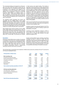The commercial strategy and programme continues to grow with further blue chip partners working with the LTA during the year. The cornerstone of the commercial programme is the agreement with AEGON as the Lead Partner of the LTA and British tennis. Alongside AEGON, we are delighted to continue to work with Supporters BNP Paribas and Highland Spring, as well as suppliers, Intercontinental Hotel Group and Nike. During the year we also welcomed new partners Thomson Reuters and Babolat which contributed to the year on year growth.

The significant growth generated from Events was associated with the AEGON British Tennis Series (AEGON Championships, AEGON Classic and AEGON International) in the grass court season as well as the first year of the ATP World Tour Finals in November 2009. 2010 saw encouraging signs of recovery in the hospitality market for our events with good year on year growth.

Sport England grant revenue funding of £3.4m (2009: £3.8m) largely reflects the funding received under the first full year of the Whole Sport Plan funding. During 2009 the LTA entered into a four year agreement with Sport England under its Whole Sport Plan funding with effect from 1st April 2009. This secured up to £26.8m

of total revenue and capital funding. This funding is dependent on the achievement of certain objectives and measures and the capital funding is administered by the LTA as an agent on behalf of places to play based on actual capital projects. The LTA work closely with Sport England to meet these objectives and the revenue recognised in the year reflects the contracted level of funding. In addition to the revenue funding referred to above the LTA also received £3.85m from Sport England to invest directly in capital facility projects. Neither the income nor expenditure is recognised within the LTA's operating results given the funding conditions and the nature of the projects.

Other income includes items such as the reimbursement of tournament costs, fees, other grants and programme funding as well as affiliation fees.

Donations consist of amounts paid directly to the TF by external parties to be used for investing in growth and participation in the sport.

Investment income significantly reduced in 2010 to £0.7m (2009: £1.3m). This was expected due to the ongoing very low interest rates received on all cash deposits throughout 2010.

## **Expenditure**

Expenditure within British tennis consists of investment in all aspects of the sport from increasing participation at grass roots to elite performance development. Given the nature of expenditure across numerous areas and the overlap within these areas there are a number of subjective assumptions inherent in apportioning expenditure between performance and growth.

Overall combined British tennis operating expenditure increased by £0.4m to £60.1m in 2010. The LTA expenditure following group reporting adjustments and eliminations reduced to £54.7m in 2010. The major adjustments include facility grants funded directly from the LTA project reserve and the elimination of TF direct net expenditure (excluding LTA donations as above).

The principal areas of expenditure and investment in British tennis across the combined LTA and TF and also the LTA Group are highlighted below.

| <b>LTA Expenditure in British Tennis</b>         | 2010     | 2009     | <b>Change</b> | Change        |
|--------------------------------------------------|----------|----------|---------------|---------------|
| <b>Direct operating costs</b>                    | £000s    | £000s    | £000s         | $\frac{0}{0}$ |
|                                                  |          |          |               |               |
| Developing and Supporting Talent                 | 13,391   | 14,115   | 724           | 5%            |
| Growth and Development of the Sport              | 13,749   | 13,379   | (370)         | (3%)          |
| <b>Competitions and Events</b>                   | 16,235   | 15,681   | (554)         | (4% )         |
| Commercial                                       | 3,628    | 3,618    | (10)          | 0%            |
| <b>Business Support</b>                          | 10,335   | 10,492   | 157           | 2%            |
| Depreciation                                     | 2,780    | 2,420    | (360)         | (15%)         |
| Total combined operating expenditure of LTA & TF | 60,118   | 59,705   | (413)         | (1%)          |
| <b>LTA Group reporting adjustments</b>           |          |          |               |               |
| LTA Facility Grants - Reserves                   | 180      | 1,500    | 1,320         | 88%           |
| <b>Financial Statements Reclassifications</b>    | (547)    | (308)    | 239           | 78%           |
| <b>External TF Expenditure</b>                   | (5,053)  | (4,655)  | 398           | 9%            |
|                                                  | (5, 420) | (3, 463) | 1,957         | 57%           |
| <b>Total LTA Group Operating Expenditure</b>     | 54,698   | 56,242   | 1,544         | 3%            |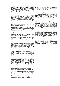The expenditure on developing and supporting talent includes investment into the performance infrastructure of independent performance centres throughout the country, all aspects of junior talent identification and development, individual player funding (from juniors through to Team AEGON) and support and resources for the matrix-funded junior and senior players.

Growth and development of the sport encompasses the national field team working throughout the counties with volunteers and individuals involved in competitions, coaching, clubs and community facilities. Additional to this is direct investment supporting places to play as well as coach education and support. The final element within this category is the donation the LTA makes directly to the TF which funds development programmes in schools and disability tennis as well as broader community opportunities.

Competitions and events expenditure range from the grass roots competition structure to the pre-Wimbledon international major events delivered as part of the AEGON British Series. These major events underpin the grass court season and are vital preparation for The Championships, Wimbledon. Also included is expenditure on Davis Cup and investment in the Barclays ATP World Tour Finals at The O2.

Commercial expenditure supports the direct and indirect costs relating to the commercial delivery of the LTA's partnerships, and delivers a substantial return to British tennis.

Business support includes all aspects of resources and support to the direct investment in tennis including the costs relating to governance, head office and the NTC performance infrastructure costs as well as the support functions including legal, finance, IT and HR.

## **The LTA's partnership with the Tennis Foundation**

The TF is the independent registered charity of British tennis (Charity number – 298175). The TF works to provide sustainable and inclusive tennis opportunities for all age groups across local authority tennis facilities, including parks, leisure centres and indoor facilities located on local authority land. The charitable objectives of the TF also extend to the whole of the education sector, and to disability development and performance. The TF is a key partner of the LTA in promoting tennis in Great Britain and a number of charitable activities are run in partnership. The TF utilises the specialist knowledge and resources of the LTA development field team to deliver some aspects of the TF's charitable activities. The LTA also provides a number of support, administrative and management services to the TF. All services and resources provided by the LTA to the TF are provided for and charged on an arm's length basis.

The LTA is a significant contributor to the TF and during the year the LTA donated £11.1m (2009 – £9.4m) to the TF. The TF also secures revenue and donations from other partners and supporters. Total TF revenue was £17.3m in 2010 (2009: £15.8m) and total TF expenditure on charitable activities was £18.6m in 2010 (2009: £15.8 m).

#### **Reserves**

The LTA is focused on the growth and widening of revenue streams to reduce the dependency on income from The Championships (which operates as a result of a joint arrangement between the All England Club and the LTA). Significant progress has been made on this since 2007 with combined LTA/ TF income increasing by £12.2m over this period. Of this increase, £8.5m has been driven by commercial/ events and £5.3m has been contributed by The Championships, partially offset by reductions in grant income from Sport England and investment income.

Despite this progress in diversifying income streams, The Championships, Wimbledon remains, by far, the biggest contributor to the LTA's revenue. This large single source of income heightens our risk profile, particularly as the tournament takes place towards the end of our financial year. As part of its risk management approach, the LTA manages its reserves policy as detailed above.

As well as historic reserves the LTA and its Board also closely reviews reserves and liquid assets, being cash and investments. At the balance sheet date, total cash balances are £23.0m (2009: £27.1m) and the LTA owns investments with a cost of £26.9m (2009: £23.8m). An investment strategy is in place to provide a financial return on these funds over the long term by maintaining a balanced and diversified portfolio with a medium risk profile over the longer term that is acceptable to the Investment Committee and the Board. Investments held in a foreign currency are hedged as far as possible to remove the exchange rate risk on those investments.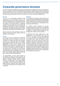# **Corporate governance structure**

The LTA is committed to managing and conducting its business and its corporate governance to plc standards and aims to be a leading and forward looking National Governing Body. The Board actively embraces the principles of good governance as set out in the Combined Code with particular regard to integrity and accountability but also with a view to ensuring value and return on its investment into tennis. The LTA has adopted certain principles associated with good governance and further information as to how these are applied is detailed below.

## **Structure**

## **The Board**

The LTA is an unincorporated association whose constitution is set out in the Rules of the LTA\*. The stated objective of the LTA is to be the governing body of tennis in Great Britain, the Channel Islands and the Isle of Man with the general objective of advancing the interests of tennis and the LTA. Its membership consists of various bodies that have an interest in the development and promotion of tennis in Great Britain including the 38 English counties, Tennis Scotland, Tennis Wales, Channel Isles LTA, Isle of Man LTA, The All England Lawn Tennis Club and the Tennis Foundation.

During the year, the LTA has continued to review and enhance its corporate structures, details of which are available on the LTA website.

## **Council**

The LTA Council is the democratic forum representing those bodies which are members to the LTA. Its composition and powers are governed by the Rules of the LTA\*. It consists (inter alia) of the President, Deputy President, Honorary Treasurer and Councillors (representatives elected from the various member associations). The LTA Council manages the LTA through the Board assisted by various other boards, committees and panels. The Standing Orders\* set out how the Council determines the composition of, and appointment to, the Board (and other boards, committees and panels) and delegates its power to the Board. The LTA Council meets at least four times a year and at those meetings receives reports from the LTA Board, as does the Annual General Meeting.

The responsibilities of Council include approval of the strategy and budget; the annual accounts and report; nominations including for the President, Deputy President, Honorary Treasurer, Deputy Honorary Treasurer (if appointed) and Council representatives to the Board; amendments to the Standing Orders; amendments to the LTA Rules (also subject to the AGM's approval); subscription fees; interest charged on LTA loans; and the approval of any significant major transactions.

The composition of the Board is also governed by the Rules of The LTA and the Standing Orders. These include the formal procedures for the election of the President, Deputy President, Honorary Treasurer, Deputy Honorary Treasurer (if appointed) and the representatives from Council that sit on the Board.

The President, Deputy President, the Honorary Treasurer and Deputy Honorary Treasurer (if appointed) are elected each year and there is a convention that no President will serve longer than three years. The remaining non executive Board members are also considered for re-election on an annual basis.

The Board has clear terms of reference and a clear understanding of its responsibility and role. The functions of the Board are to provide leadership to the LTA, formulate the strategy, objectives and major policies before they are presented to Council for approval and to review and monitor the LTA's operational and financial performance against that strategy and objectives. Further detail as to matters reserved for decisions by the Board may be found in the LTA Governance Document. There is a clear division of responsibility between the President and the Chief Executive and each executive Board member has a role description and limits of authority. The Board meets a designated number of times per year in accordance with the Standing Orders. During the year to 30 September 2010 the Board met seven times.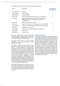The Board is not to exceed 15 in number. The current Board members are:

## **Name Description No of Meetings attended in year** Derek Howorth President 7 Peter Bretherton **Deputy President** 7 and 7 and 7 and 7 and 7 and 7 and 7 and 7 and 7 and 7 and 7 and 7 and 7 and 7 and 7 and 7 and 7 and 7 and 7 and 7 and 7 and 7 and 7 and 7 and 7 and 7 and 7 and 7 and 7 and 7 and 7 and Andrew Crichton Honorary Treasurer 7 Martin Corrie Chair of the Professional Tennis Advisory & Scrutiny Board 6 Tom Kinloch Board member elected by Council and Chair of the Tennis Operations Advisory & Scrutiny Board (with effect from 1 January 2010) 7 Cathie Sabin **Board member elected by Council** Tony Lemons Board member elected by Council (appointed 16 December 2009) 6 Peter Littlewood President's nominated member (appointed 16 December 2009) 7 Val Gooding The Independent non-executive Contract and Cooling 6 Richard Baker **Independent non-executive (appointed 11 May 2010)** 3 Roger Draper Chief Executive 7 and 2008 7 and 2008 7 and 2008 7 and 2008 7 and 2008 7 and 2008 7 and 2008 7 and 2008 7 and 2008 7 and 2008 7 and 2008 7 and 2008 7 and 2008 7 and 2008 7 and 2008 7 and 2008 7 and 2008 7 and Mark Donnelly Finance Director 7 and 7 7 and 7 7 and 7 7 and 7 7 and 7 7 and 7 7 and 7 7 and 7 7 and 7 7 and 7  $\,$  7

Anne Clark stepped down as Chair of the Tennis Operations Advisory & Scrutiny Board with effect from 31 December 2009. Sir Robert Phillis, an independent non-executive, died on 22 December 2009.

Karen Neale, Head of Legal, is the LTA's Secretary (appointed 11 May 2010) and attends all Board meetings in that capacity.

The Board is satisfied with the balance between executive and non-executive Board members which allows it to exercise objectivity in Board decision making and proper control of the LTA's assets. Whilst the Board has two nominated Independent Non-Executive Board members, all the non-executive Board members are considered independent of the executive and are directly accountable to the LTA Council and reflect members' interests accordingly. The Board considers its composition is appropriate in view of the size and requirements of the LTA's business. The Nominations Committee review the composition of the Board and make recommendations to the President and Council on its make up. The Nominations Committee is responsible for leading the search and review procedure to recommend new Board appointments.

New Board members receive an induction into the LTA and training as required on an ongoing basis. Board members also have access to the Company Secretary and any external advisors and resources if required. The LTA maintains directors' liability insurance on behalf of its Board.

## **Main Board Performance**

The President is responsible for leadership of the Board and ensuring its effectiveness. The President on behalf of the Board reviews its performance and effectiveness during each year. The process includes a variety of methods, including questionnaires completed by and interviews with Board Members conducted by the LTA Secretary or the President. Issues addressed include the function of the Board and each of its committees and panels and includes an assessment of the President by his peers. The results are considered first by the President and then by the Board. In addition, the Board also debates and agrees the key priorities and ways of working and this is intrinsically linked to the delivery of the strategy and key working priorities of the executive management team. As a result of the findings of the review, the Board considered its performance to be satisfactory during the year.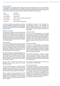## **The Executive Team**

The responsibility for operational decision making lies with the LTA's Executive Team. As such, the Executive is responsible for the implementation of the strategy, objectives and major policies of the LTA and are directly accountable to the Board and are responsible for briefing and updating the Board with relevant information. The current Executive Team incorporates all the critical areas of the business and its members are:

| <b>Description</b>                      |
|-----------------------------------------|
| <b>Chief Executive</b>                  |
| <b>Player Director</b>                  |
| Director of Communications & Commercial |
| <b>Finance Director</b>                 |
| <b>Head of Business Development</b>     |
|                                         |

The LTA has a number of sub-committees of the Board which have delegated responsibility for key areas. Each committee has terms of reference and all committees report back to the Board and minutes are circulated to all Board members.

## **President's Committee**

The President's Committee is a forum consisting of the President, Deputy President and Honorary Treasurer with the CFO and Finance Director in attendance as appropriate. The President's Committee will advise the President as required, review the annual budget prior to submission to the Board and provide a forum where the CEO can discuss issues and seek advice or feedback on a confidential basis.

#### **Audit Committee**

The main role and responsibilities of the Audit Committee are to monitor the integrity of the financial statements of the LTA, review the LTA's internal financial controls, financial risk management systems and to manage the appointment, independence and performance of the external auditors. Its terms of reference are set out in the LTA Governance Structure document.

The Audit Committee is chaired by Richard Baker, an Independent Non-Executive member of the Board. The other members of the Committee are Andrew Crichton, the Honorary Treasurer, and Tony Lemons, a Board Member elected by the LTA's Council. Mark Donnelly, the Finance Director and the LTA's audit partner attend the Committee as invited.

During the year Tom Kinloch was co-opted to the Committee and was acting chair prior to Richard Baker's appointment.

The Audit Committee reports to the Board and also to Council on any audit matter. The Audit Committee generally meets up to three times a year and in line with its terms of reference reviewed the annual financial statements before they were approved by the Board.

There is currently no internal audit function and the Audit Committee and the Board believe that this is appropriate for the organisation, based on its size and activities. This will be reviewed on an annual basis when the need for any internal audit activity or function will be considered.

Pricewaterhouse Coopers LLP, the LTA's audit firm, also provides tax advice to the organisation via separate engagement teams and tax partner. The Audit Committee is satisfied that the provision of tax advice does not impact the auditor's subjectivity and independence.

## **Funding Committee**

The main role and responsibilities of the Funding Committee are to ratify, review and agree LTA capital funding, both loans and grants, for individual projects in accordance with the LTA's capital funding programme and budget. The Funding Committee is chaired by a member of Council and has eight members; the LTA Honorary Treasurer and Finance Director are invited to attend.

#### **Investment Committee**

The main role and responsibility of the Investment Committee is to decide the LTA's investment policy for its portfolio of investment securities and such other assets as the Board decides. It is guided by the Board as to the balance required between income and capital growth. Its terms of reference are set out in the LTA Governance Structure Document.

The Investment Committee is chaired by Andrew Crichton, the Honorary Treasurer. The other members are Peter Bretherton, the Deputy President, Martin Corrie, Board member and Chairman of the Professional Tennis Advisory and Scrutiny Board and Mark Donnelly, the Finance Director.

The Investment Committee reports to the Board and met four times in the financial year.

## **Nominations Committee**

The nomination procedures for boards, committees and panels are set out in the LTA Governance Structure Document. The Board Nominations Committee was set up in 2009 with the purpose of keeping the composition of the Board under review and considering the appointments of Councillors and succession planning at senior levels of management. Membership of the Nominations Committee comprises the members of the President's Committee and an Independent Non-Executive Board member (Val Gooding).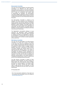## **Remuneration Committee**

The main role and responsibilities of the Remuneration Committee is to determine the LTA's policy on remuneration and to advise on the total remuneration packages of the Chief Executive and senior executives and to make any comparisons with market rates of remuneration as necessary. The Remuneration Committee engages independent external consultants to benchmark remuneration levels as required. Its terms of reference are set out in the LTA Governance Structure Document.

The Remuneration Committee is chaired by the President. The other members of the Committee are Andrew Crichton, the Honorary Treasurer, Val Gooding, Independent Non-Executive Board member and Peter Bretherton, Deputy President, with Roger Draper, the Chief Executive, and the Head of HR in attendance as appropriate. The Remuneration Committee reports to the Board. The Remuneration Committee has met three times during the financial year.

The Organisation's remuneration strategy is to pay executives the appropriate market remuneration packages to attract and retain high calibre individuals to manage and deliver the Organisation's objectives. No remuneration is currently paid to the non-executive Board members which the Board considers appropriate at the current time.

## **Risk Advisory Committee**

The main role and responsibility of the Risk Advisory Committee is to review and to report to the Board, on the major risks which the organisation faces and also the design, implementation and the monitoring of the systems of internal control to mitigate, wherever possible, these risks. In particular, the Risk Advisory Committee considers and receives reports from the executive-led Risk Advisory Group on the nature of risks facing the LTA, the categories of risk which are acceptable, the likelihood of risks materialising, the LTA's ability to reduce this likelihood and impact on its business of the risks and the costs of operating the particular controls relative to the benefit obtained in managing the identified risks. Its terms of reference are set out in the Corporate Structure Document.

The Risk Advisory Committee is chaired by Peter Bretherton, Deputy President. The other members are Roger Draper, the Chief Executive, Bruce Philipps, the Director of Communications & Commercial, Mark Donnelly, the Finance Director and Karen Neale, Head of Legal Services and LTA Secretary. The Risk Advisory Committee has met four times in the current financial year.

24th November 2010  $\frac{1}{2}$  ,  $\frac{1}{2}$  ,  $\frac{1}{2}$  ,  $\frac{1}{2}$  ,  $\frac{1}{2}$  ,  $\frac{1}{2}$  ,  $\frac{1}{2}$ 

<sup>\*</sup> All of the documents mentioned in this report can be accessed and downloaded via the LTA website at www.lta.org.uk/About-Us/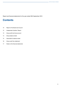Report and financial statements for the year ended 30th September 2010

# **Contents**

- 10 Report of the Board and Council
- 12 Independent Auditors' Report
- 13 Group profit and loss account
- 14 Group balance sheet
- 15 Association's balance sheet
- 16 Group cash flow statement
- 17 Notes to the financial statements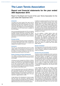# **The Lawn Tennis Association**

## **Report and financial statements for the year ended 30th September 2010**

Report of the Board and Council of the Lawn Tennis Association for the year ended 30th September 2010

## **Introduction**

The Board and Council present their report and the audited Group financial statements of the Lawn Tennis Association (the LTA) and its subsidiaries for the year ended 30th September 2010. These are presented in conjunction with a detailed review of the LTA's activities and progress in the LTA Annual which is available via the LTA's website.

As an unincorporated association the LTA is not required to prepare financial statements in accordance with UK Generally Accepted Accounting Practice (UK GAAP). However, the LTA has adopted UK GAAP for reasons of best practice and the demonstration of good corporate governance.

## **Principal activities**

The LTA is the governing body of tennis in Great Britain, the Channel Islands and the Isle of Man. Its objects are to promote and develop tennis and to advance and safeguard the interests of the sport.

## **Governance**

The LTA is an unincorporated body and has no share capital. Details of the governance structure of the LTA including the role of the Board, key committees and the names of the Board members are set out in the Corporate Governance section of this report.

#### **Review of business and future developments**

The detailed operating performance of the LTA and future strategy is presented within the Business Review and Strategy.

LTA Group turnover increased from £50.6m to £53.6m in 2010. The importance of our partnerships with the All England Lawn Tennis Club, Sport England and AEGON as our lead commercial partner across all of British tennis are recognised within our income streams and we continue to work closely with all parties to maximise their investment within British tennis.

The LTA invests these funds in line with its objectives to grow and develop the sport at all levels and to provide the performance infrastructure and environment for talented individuals to be successful at world level. LTA operating expenditure across these areas in the year was £54.7m, against £56.2m in 2009.

A large element of the development of tennis at grass roots and within the community is delivered by the Tennis Foundation and included within the consolidated operating expenditure of the LTA is a donation of £11.1m (2009: £9.4m) from the LTA to the Tennis Foundation.

In addition to operating expenditure, the LTA also invests significantly in facility projects including clubs, indoor facilities, parks and schools. During the year the LTA invested £5.2m in new facility projects (2009: £4.8m). Of this £5.2m investment, £0.2m of LTA awarded grants are included within operating expenditure above and the balance consists of £3.9m of Sport England facility grants awarded under the Whole Sport Plan and £1.1m of interest free loans awarded by the LTA which will be repayable over 10 years.

The LTA maintains a healthy balance sheet with sufficient cash to provide mitigation against risks and uncertainties and to enable the organisation to plan ahead with reasonable certainty around key programmes. Cash balances at 30 September 2010 were £23.0m against £27.1m in 2009. Net assets were £139.5m at 30 September 2010 (2009: £140.4m) of which £45.1m are within restricted reserves (2009: £48.4m) and £38.3m is invested within fixed assets (2009: £38.3m).

## **Results and dividends**

The Group loss for the year after taxation amounted to £0.9m (2009: £8.7m). Under the LTA rules, the LTA may not pay a dividend or distribute its retained reserves or funds to its members.

## **Principal risks and uncertainties**

There are a number of potential risks which could have a significant impact on the LTA's long-term performance and financial position. As detailed in the Corporate Governance statement the Risk Advisory Committee and Risk Advisory Group are responsible for identifying and reviewing the risks to the Group and these are reported to the Board. Controls and suitable actions are put in place to mitigate these identified risks as far as is possible and practical. The Audit Committee is responsible for assessing the LTA's internal control environment.

A key business risk relates to the certainty of future revenue streams notably from The Championships, Sport England and commercial partners. These risks are mitigated by the long term contracts the LTA has secured with its major partners which secures these various revenue sources over the next 43 years, three years and three years respectively. Given the large contribution that the Championships make to the LTA's total results the Group is still exposed to a catastrophic loss of revenue in any single year due to cancellation or severe curtailment of the Championships. Further steps to mitigate or protect against this risk were in place during the year particularly with respect to the roof over Centre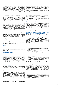Court providing protection against weather losses and insurance covering major curtailment or abandonment risks where possible. There are isolated risks which are not insurable in relation to The Championships and also within LTA run major events which could have a material impact on revenue streams associated with these events but these are considered remote. The LTA maintains adequate cash balances and reserves to mitigate any short term financial impact from these risks.

The LTA faces an element of credit risk in its ongoing business relationship with major commercial partners. Risks are managed as part of ongoing due diligence and credit management but cannot be completely mitigated.

The Group holds investments in shares and hedge funds as part of its overall investment strategy. The Group has appointed independent specialist investment advisers who manage the portfolio on the LTA's behalf in accordance with the agreed risk profile. However it is recognised that any investment portfolio is subject to market fluctuations and external factors. Some investments are held in foreign currency and the LTA enters into financial instruments to mitigate any exchange risk on these investments. This policy is approved by the Board and the Investment Committee oversees the implementation of this policy. The LTA does not use financial instruments for speculative purposes.

In addition to the measures described above the LTA has an element of natural risk mitigation in that a large element of its expenditure in the sport is discretionary in each financial year and can be reduced in subsequent years without breaching legal commitments.

## **Equality**

The LTA is committed to making tennis accessible and open to everyone who wants to be involved in the game. It is its policy to treat everyone equally, fairly and consistently.

## **Employee engagement**

During the year the policy of providing employees with information about the LTA and British tennis has continued through internal communications in which employees have also been encouraged to present their suggestions and views. Regular meetings are held between management and employees to allow a free flow of information and ideas and the LTA places considerable value on the views and involvement of its employees.

## **Charitable donations**

The Tennis Foundation (TF) is a registered charity (Charity number – 298175). The TF funds a sustainable and inclusive tennis development programme for all age groups across all local authority tennis facilities, including parks, leisure centres and indoor facilities located on local authority land. The remit of the TF also extends to the whole of the education sector and to disability development and performance. The TF is the key partner of the LTA in promoting the development of tennis and increasing participation in Great Britain and a number of charitable programmes are run in partnership. The LTA is a key funding partner of the TF and during the year the LTA donated £11.1m (2009: £9.4m) to the TF which is included within the LTA's

operating expenditure. The TF invested these funds together with revenue raised from other partners and external sources to further its charitable objectives.

The TF requested that the LTA manage and deliver some of the programmes for the advancement of tennis across the areas of junior development, community access and tennis facilities, including parks and clubs. The LTA also provides a number of support, administrative and management services to the TF.

Other charitable donations were a £9,000 donation to Right to Play by LTA Events Ltd.

## **Supplier payment policy**

The LTA's policy which is applied across the Group is to pay suppliers in accordance with the terms of the transaction agreed at the time of entering into the transaction. Trade creditors of the Group at 30 September 2010 were equivalent to 26 days (2009: 19 days) purchases based on the average daily amount paid to suppliers during the year.

## **Statement of responsibilities in respect of the Annual Report and the financial statements**

The Board and Council of the LTA are responsible for the preparation of the Annual Report and the financial statements for each financial year that give a true and fair view of the state of affairs of the LTA and the Group and of the Group's profit or loss for that period and that are in accordance with United Kingdom Accounting Standards (United Kingdom Generally Accepted Accounting Practice).

In preparing those financial statements the Board and Council are required to:

- select suitable accounting policies and then apply them consistently,
- make judgements and estimates that are reasonable and prudent,
- state whether applicable accounting standards have been followed subject to any material departures disclosed and explained in the financial statements, and
- prepare the financial statements on the going concern basis unless it is inappropriate to presume that the LTA will continue its operations.

The Board and Council of the LTA are responsible for keeping adequate accounting records that are sufficient to show and explain the LTA's transactions and disclose with reasonable accuracy at any time the financial position of the LTA and the Group. They are also responsible for safeguarding the assets of the LTA and the Group, and hence for taking reasonable steps for the prevention and detection of fraud and other irregularities.

The Board and Council of the LTA are responsible for the maintenance and integrity of the corporate and financial information included on the LTA's website. Legislation in the United Kingdom governing the preparation and dissemination of financial statements may differ from legislation in other jurisdictions.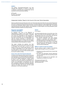## **Auditors**

The auditors, PricewaterhouseCoopers LLP, have indicated their willingness to continue in office and a resolution concerning their re-appointment will be proposed at the Annual General Meeting.

DP Howorth By order of the Council 24th November 2010

## Independent Auditors' Report to the Council of the Lawn Tennis Association

We have audited the financial statements of the Lawn Tennis Association (the LTA) for the year ended 30 September 2010 which comprise the Group profit and loss account, the Group statement of total recognised gains and losses, the Group and Association balance sheets, the Group cash flow statement and the related notes. The financial reporting framework that has been applied in their preparation is United Kingdom Accounting Standards (United Kingdom Generally Accepted Accounting Practice).

#### **Respective responsibilities of directors and auditors**

As explained more fully in the Statement of responsibilities in respect of the Annual Report and the financial statements set out on page 11, the Board and Council are responsible for the preparation of the financial statements and for being satisfied that they give a true and fair view. Our responsibility is to audit the financial statements in accordance with International Standards on Auditing (UK and Ireland). Those standards require us to comply with the Auditing Practices Board's Ethical Standards for Auditors.

This report, including the opinions, has been prepared for and only for the LTA's Council as a body in accordance with LTA's Rule 14 and for no other purpose. We do not, in giving these opinions, accept or assume responsibility for any other purpose or to any other person to whom this report is shown or into whose hands it may come save where expressly agreed by our prior consent in writing.

#### **Scope of the audit of the financial statements**

An audit involves obtaining evidence about the amounts and disclosures in the financial statements sufficient to give reasonable assurance that the financial statements are free from material misstatement, whether caused by fraud or error. This includes an assessment of: whether the accounting policies are appropriate to the Group's and Association's circumstances and have been consistently applied and adequately disclosed; the reasonableness of significant accounting estimates made by the Board and Council; and the overall presentation of the financial statements.

#### **Opinion**

#### In our opinion:

the financial statements give a true and fair view of the state of the Group and the Association's affairs as at 30 September 2010 and of the Group's loss and the Group's cash flows for the year then ended;

- the financial statements have been properly prepared in accordance with United Kingdom Generally Accepted Accounting Practice; and
- the information given in the Report of the Board and Council for the financial year for which the financial statements are prepared is consistent with the financial statements.

#### **Matters on which we report by exception**

We have nothing to report in respect of the following matters where we report to you if, in our opinion:

- adequate accounting records have not been kept by the LTA; or
- the Group and Association financial statements are not in agreement with the accounting records and returns; or
- we have not received all the information and explanations we require for our audit.

PricewaterhouseCoopers LLP Chartered Accountants, London 24th November 2010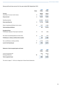## Group profit and loss account for the year ended 30th September 2010

|                                                      |                         | 2010      | 2009      |
|------------------------------------------------------|-------------------------|-----------|-----------|
|                                                      | <b>Notes</b>            | £'000s    | £'000s    |
| <b>Turnover</b>                                      |                         | 60,945    | 55,913    |
| Less: Share of turnover of joint venture             | $\mathbf 2$             | (7, 363)  | (5, 357)  |
| <b>Group turnover</b>                                | $\overline{\mathbf{c}}$ | 53,582    | 50,556    |
| Operating expenses                                   |                         | (54, 698) | (56, 242) |
| <b>Group operating loss</b>                          | 3                       | (1, 116)  | (5,686)   |
| Share of operating profit/(loss) of joint venture    | $\mathbf 2$             | 1,597     | (1,093)   |
| Total operating profit/(loss)                        |                         | 481       | (6, 779)  |
| <b>Exceptional items</b>                             |                         |           |           |
| Profit/(loss)on disposal of fixed asset investments  | 5                       | 135       | (452)     |
| Net interest receivable/(payable) and similar items  | $\bf 6$                 | 259       | (167)     |
| Profit/(loss) on ordinary activities before taxation |                         | 875       | (7, 398)  |
| Tax on profit/(loss) on ordinary activities          | $\overline{7}$          | (1,753)   | (1, 275)  |
| Loss for the financial year                          | 17                      | (878)     | (8,673)   |
|                                                      |                         |           |           |
| Statement of total recognised gains and losses       |                         |           |           |
|                                                      |                         | 2010      | 2009      |
|                                                      |                         | £'000s    | £'000s    |
| Loss for the financial year                          |                         | (878)     | (8,673)   |
| Exchange differences                                 | 19                      | 13        | 164       |

**Total recognised losses (865) (8,509)**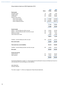## Group balance sheet as at 30th September 2010

|                                                          |              | 2010       | 2009      |
|----------------------------------------------------------|--------------|------------|-----------|
|                                                          | <b>Notes</b> | £'000s     | £'000s    |
| <b>Fixed assets</b>                                      |              |            |           |
| Intangible assets                                        | 9            | 1,208      | 1,548     |
| Tangible assets                                          | 10           | 38,268     | 38,346    |
| Investments                                              | 11           | 26,946     | 23,829    |
| Interest in joint venture                                |              |            |           |
| - share of gross assets                                  | 12           | 176,069    | 172,326   |
| - share of gross liabilities                             | 12           | (45, 282)  | (53, 449) |
| - share of debenture premia                              | 12           | (109, 301) | (98, 051) |
|                                                          |              |            |           |
|                                                          |              | 21,486     | 20,826    |
|                                                          |              | 87,908     | 84,549    |
| <b>Current assets</b>                                    |              |            |           |
| Debtors - amounts falling due within one year            | 13           | 23,204     | 20,705    |
| Debtors - amounts falling due after more than one year   | 13           | 21,059     | 22,461    |
| Deferred tax assets                                      | 14           | 1,420      | 1,014     |
| Cash at bank and in hand                                 |              | 22,990     | 27,090    |
|                                                          |              | 68,673     | 71,270    |
| Creditors - amounts falling due within one year          | 15           | (10, 478)  | (9, 161)  |
| <b>Net current assets</b>                                |              | 58,195     | 62,109    |
|                                                          |              |            |           |
| Total assets less current liabilities                    |              | 146,103    | 146,658   |
| Creditors - amounts falling due after more than one year | 16           | (6, 564)   | (6, 254)  |
| <b>Net assets</b>                                        |              | 139,539    | 140,404   |
| <b>Funds and reserves</b>                                |              |            |           |
| General reserve                                          | 17           | 94,475     | 92,043    |
| Other reserves                                           | 18           | 45,064     | 48,361    |
|                                                          |              | 139,539    | 140,404   |
|                                                          |              |            |           |

The financial statements on pages 13 – 29 were approved and authorised for issue by the Board and Council on 24th November 2010 and were signed on their behalf by:

ADD CRICHTON Honorary Treasurer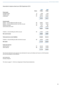## Association's balance sheet as at 30th September 2010

|                                                          |              | 2010     | 2009     |
|----------------------------------------------------------|--------------|----------|----------|
|                                                          | <b>Notes</b> | £'000s   | £'000s   |
| <b>Fixed assets</b>                                      |              |          |          |
| Intangible assets                                        | 9            | 1,208    | 1,548    |
| Tangible assets                                          | 10           | 37,924   | 37,974   |
| Investments                                              | 11           | 28,742   | 25,625   |
|                                                          |              | 67,874   | 65,147   |
| <b>Current assets</b>                                    |              |          |          |
| Debtors - amounts falling due within one year            | 13           | 26,967   | 23,741   |
| Debtors – amounts falling due after more than one year   | 13           | 16,760   | 18,254   |
| Deferred tax assets                                      | 14           | 1,241    | 907      |
| Cash at bank and in hand                                 |              | 18,283   | 24,552   |
|                                                          |              | 63,251   | 67,454   |
| Creditors - amounts falling due within one year          | 15           | (7, 287) | (7, 467) |
| <b>Net current assets</b>                                |              | 55,964   | 59,987   |
| <b>Total assets less current liabilities</b>             |              | 123,838  | 125,134  |
| Creditors - amounts falling due after more than one year | 16           | (6,059)  | (6,059)  |
| <b>Net assets</b>                                        |              | 117,779  | 119,075  |
| <b>Funds and reserves</b>                                |              |          |          |
| General reserve                                          | 17           | 82,160   | 83,289   |
| Other reserves                                           | 18           | 35,619   | 35,786   |
|                                                          |              | 117,779  | 119,075  |

The financial statements were approved and authorised for issue by the Board and Council on 24th November 2010 and were signed on their behalf by:

ADD CRICHTON Honorary Treasurer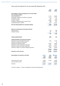## Group cash flow statement for the year ended 30th September 2010

|                                                            |         | 2010<br>£'000s | 2009<br>£'000s |
|------------------------------------------------------------|---------|----------------|----------------|
| Reconciliation of Group operating loss to net cash outflow |         |                |                |
| from operating activities                                  |         |                |                |
| Group operating loss                                       |         | (1, 116)       | (5,686)        |
| Depreciation charge (net of profit/loss on disposal)       |         | 2,414          | 2,114          |
| Amortisation charge                                        |         | 340            | 340            |
| Increase in debtors                                        |         | (2,583)        | (1,948)        |
| Decrease in outstanding loans to places to play            |         | 1,505          | 677            |
| Increase/(decrease) in creditors                           |         | 1,740          | (1,613)        |
| Net cash inflow/(outflow) from operating activities        |         | 2,300          | (6, 116)       |
|                                                            |         |                |                |
| Returns on investments and servicing of finance            |         |                |                |
| Interest received                                          |         | 315            | 988            |
| Dividends received                                         |         | 232            | 198            |
|                                                            |         | 547            | 1,186          |
| <b>Taxation (paid)/refunded</b>                            |         | (405)          | 497            |
| Capital expenditure and financial investment               |         |                |                |
| Payments to acquire intangible fixed assets                |         | (725)          | (1, 163)       |
| Receipts from disposal of fixed assets                     |         | 1              | 10             |
| Payments to acquire fixed assets                           |         | (2,315)        | (2,095)        |
| Receipts from sale of fixed asset investments              |         | 4,851          | 6,014          |
| Payments to acquire fixed asset investments                |         | (8,070)        | (10, 761)      |
| Payments in relation to investment hedging instruments     |         | (284)          | (2,049)        |
|                                                            |         | (6, 542)       | (10, 044)      |
| Decrease in cash in the year                               |         | (4, 100)       | (14, 477)      |
| Reconciliation of movement in net funds                    | 1st Oct | Cash           | 30th Sept      |
|                                                            | 2009    | flows          | 2010           |
|                                                            | £'000s  | £'000s         | £'000s         |
| Cash at bank and in hand                                   | 27,090  | (4, 100)       | 22,990         |
| Loans due after one year                                   | (6,059) |                | (6,059)        |
| Net funds                                                  | 21,031  | (4, 100)       | 16,931         |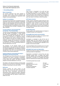## Notes to the financial statements Year ended 30th September 2010

## **1. Accounting policies**

## **Basis of preparation**

The financial statements have been prepared on the going concern basis, under the historical cost convention, and in accordance with applicable United Kingdom Accounting Standards.

## **(a) Basis of consolidation**

The Group financial statements consolidate the financial statements of the LTA and its subsidiary undertakings made up to 30th September 2010 and its share of the results and post acquisition reserves of joint ventures. The profits and losses of subsidiaries and joint ventures are consolidated from the date of acquisition to the date of disposal.

## **(a.1) Accounting for unincorporated joint arrangement – The Championships**

The Lawn Tennis Championships (The Championships) are held annually at Wimbledon. In these financial statements The Championships are accounted for as an unincorporated joint arrangement. The joint arrangement is governed by an agreement between The All England Lawn Tennis & Croquet Club (The Club) and the LTA, whereby The Championships are controlled, managed and promoted by a Committee of Management consisting of members representing the Club and the LTA. The Championships prepares its financial statements to 31st July.

The allocation of the financial surplus of The Championships is also governed by this agreement. The financial arrangements are designed to advance the interests of British tennis. The net surplus has been allocated fully to the LTA in the current and prior year covered by these financial statements.

## **(a.2) Accounting for incorporated joint venture – All England Lawn Tennis Ground Plc**

The All England Lawn Tennis Ground Plc (The Ground Company) is the owner of grounds in Wimbledon, London, SW19, which it makes available for the playing of lawn tennis and croquet. The Ground Company prepares its financial statements to 31st July.

The shares in The Ground Company are held equally between the LTA and The Club. Accordingly, the Ground Company is accounted for as a joint venture.

## **(b) Turnover**

Turnover includes the gross surplus of The Championships, income from facility and hospitality fees from tennis tournaments, commercial and sponsorship income, government grants, advertising income and sales of magazines and other publications, and subscriptions less any refunds or returns and is stated net of VAT.

## **(c) Grants**

Grant income is recognised in the profit and loss account either on receipt or in the period in which the related expenditure is incurred, depending on the nature of the grant. Grant expenditure is recognised in the profit and loss account in the period in which the grant was made or committed to other third parties.

## **(d) Foreign currencies**

Foreign currency transactions arising during the year are translated at the rates prevailing at the date of the transactions unless covered by a forward exchange contract, in which case the contract rate is used. Balances outstanding at the year end are translated at the rate ruling on that date unless covered by a forward exchange contract. 

## **(e) Operating leases**

Rentals payable under operating leases are charged on a straight line basis over the lease term.

## **(f) Intangible fixed assets and amortisation**

Intangible fixed assets are stated in the balance sheet at cost less provision for amortisation.

Amortisation is calculated to write off the cost of intangible assets over their expected lives by equal instalments. The expected life of each intangible asset is determined on an individual basis, dependant on the duration of its economic benefit.

Commercial Rights will be amortised over 5 to 10 years based on the contractual period to which they relate.

## **(g) Tangible fixed assets and depreciation**

Tangible fixed assets are stated in the balance sheet at cost less provision for depreciation.

Depreciation is calculated to write off the cost, less estimated residual value, of tangible fixed assets over their expected lives by equal annual instalments. Depreciation is provided on all tangible fixed assets apart from freehold land and assets under construction.

The following asset lives are used:

| Long leasehold              | 125 years      |
|-----------------------------|----------------|
| Buildings and tennis courts | 10 to 50 years |
| Motor vehicles              | 4 years        |
| Furniture and equipment     | 3 to 20 years  |
| Computer equipment          | 3 years        |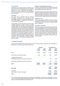## **(h) Investments**

Investments held as fixed assets are stated at cost less any provision considered necessary for permanent diminution in value. Investments denominated in foreign currency are re-translated at the rate ruling at the balance sheet date, with any exchange differences taken to reserves.

## **(i) Hedging**

The Group has not adopted FRS 26, 'Financial instruments: Recognition and measurement' and accordingly accounts for forward exchange contracts and related hedges in accordance with SSAP 20, 'Foreign Currency Translation".

Where foreign currency borrowings (including forward exchange contracts) are used to finance or provide a hedge against the exchange risk associated with existing foreign fixed asset investments denominated in foreign currency, the investments are re-translated at each balance sheet date at the exchange rates ruling at the period end with movements taken to reserves. These foreign exchange movements are off-set by the re-translation of the forward exchange contracts to the extent of the exchange differences arising on the fixed asset investments. Foreign exchange movements arising from the re-translation of forward exchange contracts in place at the balance sheet date are also taken to reserves.

## **(j) Taxation including deferred taxation**

Current tax is provided at amounts expected to be paid (or recovered) using the tax rates and laws that have been enacted by the balance sheet date.

Provision for deferred tax is made in respect of all timing differences that have originated but not reversed, by the balance sheet date. The provision for deferred tax is not discounted. Deferred tax assets are only recognised to the extent that it is regarded that they will be recovered.

#### **(k) Pension costs**

Contributions payable to defined contribution schemes are charged to the profit and loss account in the period to which they relate. There are no defined benefit pension obligations.

#### **(l) Debenture accounting**

The Ground Company, a joint venture of the LTA and the Club, issues debentures to fund the development of the grounds at Wimbledon. The par value of the debenture that is due to be repaid has been included in creditors in the joint venture with the premia being credited to the Ground Company reserves on receipt. As these premia fund the investment in the joint venture's assets, the premia have been offset against the share of the joint venture's assets.

## **2. Segmental reporting**

Turnover arises materially from trading activities in the UK. Minimal income is earned from the participation of British teams in Davis Cup and Fed Cup ties overseas.

|                                                                                   | <b>Turnover</b> |                | Loss before tax |                |
|-----------------------------------------------------------------------------------|-----------------|----------------|-----------------|----------------|
|                                                                                   | 2010<br>£'000s  | 2009<br>£'000s | 2010<br>£'000s  | 2009<br>£'000s |
| Group                                                                             | 53,582          | 50,556         | (1, 116)        | (5,686)        |
| Joint venture: The Ground Company                                                 | 7,363           | 5,357          | 1,597           | (1,093)        |
| Exceptional items (note 5)<br>Profit/(loss)on disposal of fixed asset investments |                 |                | 135             | (452)          |
| Net interest receivable and similar income (note 6)                               |                 |                | 259             | (167)          |
| Total                                                                             | 60,945          | 55,913         | 875             | (7, 398)       |
| <b>Net assets</b>                                                                 |                 |                | 2010<br>£'000s  | 2009<br>£'000s |
| LTA Group                                                                         |                 |                | 118,053         | 119,578        |
| Joint venture: The Ground Company                                                 |                 |                | 21,486          | 20,826         |
| Total                                                                             |                 |                | 139,539         | 140,404        |

The LTA Group figures above include the LTA and all LTA subsidiaries. The LTA Group includes within turnover the gross surplus of £32,408,000 (2009: £30,612,000) from The Championships and within profit after tax the net surplus of £31,002,000 (2009: £29,170,000) (note 22).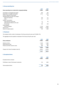## **3. Group operating loss**

|                                                            | 2010    | 2009     |
|------------------------------------------------------------|---------|----------|
| Group operating loss is stated after charging/(crediting): | £'000s  | £'000s   |
| Amortisation of intangible fixed assets                    | 340     | 340      |
| Depreciation of tangible fixed assets                      | 2,414   | 2,122    |
| Profit on disposal of fixed assets                         |         | (8)      |
| Operating lease and other hire charges:                    |         |          |
| - Plant and machinery                                      | 135     | 111      |
| - Other                                                    | 273     | 279      |
| Auditors' remuneration:                                    |         |          |
| - Audit services current year                              | 91      | 85       |
| - Audit services relating to prior year                    | 12      |          |
| - Tax services                                             | 162     | 239      |
| Grants payable:                                            |         |          |
| - Tennis Foundation                                        | 11,100  | 9,400    |
| Grant income                                               | (3,624) | (4, 100) |
| Grants for capital projects                                | 180     | 1.500    |

## **4. Employees**

The average monthly number of employees of the Group during the year was 273 (2009: 275).

The aggregate amounts payable to employees of the Group during the year were:

|                                           | 2010     | 2009     |
|-------------------------------------------|----------|----------|
| <b>Group employees</b>                    | £'000s   | £'000s   |
| Salaries and fees                         | 11,403   | 11,280   |
| Social security costs                     | 1,313    | 1,323    |
| Pension and other insurance costs         | 508      | 483      |
|                                           | 13,224   | 13,086   |
| Charge to the Tennis Foundation (note 22) | (2, 207) | (2, 276) |
|                                           | 11,017   | 10,810   |

## **5. Exceptional items**

|                                                  | 2010   | 2009   |
|--------------------------------------------------|--------|--------|
| Exceptional items comprise:                      | £'000s | £'000s |
| Profit/(loss) on sale of fixed asset investments | 135    | (452)  |
| Total exceptional items                          | 135    | (452)  |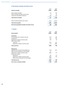## **6. Net interest receivable and similar income**

|                                                      | 2010   | 2009     |
|------------------------------------------------------|--------|----------|
| Interest receivable                                  | £'000s | £'000s   |
| Group interest receivable                            | 315    | 942      |
| Share of interest receivable of joint venture        | 6      | 24       |
| Income from fixed asset investments                  | 250    | 218      |
| <b>Total interest receivable</b>                     | 571    | 1,184    |
| Share of interest payable of joint venture           | (312)  | (1, 351) |
| Total interest payable                               | (312)  | (1, 351) |
| Net interest (payable)/receivable and similar income | 259    | (167)    |

## **7. Taxation**

|                                                 | 2010   | 2009   |
|-------------------------------------------------|--------|--------|
| <b>Group taxation</b>                           | £'000s | £'000s |
| <b>Current tax:</b>                             |        |        |
| UK corporation tax on results for the year      | 1,012  | 363    |
| Overseas tax                                    | 544    | 525    |
| Adjustment in respect of previous years         | (27)   | 20     |
| Share of joint venture:                         |        |        |
| - current tax                                   | 1,078  | 231    |
| - adjustment in respect of previous years       | (11)   | (600)  |
| <b>Total current tax</b>                        | 2,596  | 539    |
| Deferred tax:                                   |        |        |
| Origination and reversal of timing differences  | (143)  | (121)  |
| Effect of future corporation tax rate changes   | 21     |        |
| Adjustment in respect of previous years         | (285)  | 107    |
| Share of joint venture:                         |        |        |
| - deferred tax                                  | 422    | 172    |
| - adjustment in respect of previous years       | (622)  | 578    |
| - effect of future corporation tax rate changes | (236)  |        |
| <b>Total deferred tax</b>                       | (843)  | 736    |
| Tax on loss on ordinary activities              | 1,753  | 1,275  |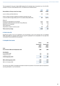The tax assessed for the year is higher (2009: higher) than the standard rate of corporation tax in the UK (28% average for the year to 30th September 2010). The differences are explained below:

| Reconciliation of Group current tax charge                                                                                                                | 2010<br>£'000s | 2009<br>£'000s |
|-----------------------------------------------------------------------------------------------------------------------------------------------------------|----------------|----------------|
|                                                                                                                                                           |                |                |
| Loss on ordinary activities before tax                                                                                                                    | 875            | (7, 398)       |
| Profit on ordinary activities multiplied by standard corporation tax rate<br>in the UK of 28% for large entities and 21% for smaller entities (2009: 28%) | 257            | (2,071)        |
| Effects of:                                                                                                                                               |                |                |
| Expenses not deductible for tax purposes                                                                                                                  | 2,620          | 3,165          |
| Accelerated capital allowances and other timing differences                                                                                               | (279)          | (149)          |
| Deferred tax not recognised                                                                                                                               | 36             | 73             |
| Other adjustments                                                                                                                                         |                | 101            |
| Adjustments in respect of previous years                                                                                                                  | (38)           | (580)          |
| Total current tax charge                                                                                                                                  | 2,596          | 539            |

## **8. Profit of the LTA**

Excluding the results of all of its subsidiaries, the LTA generated a loss for the financial year of £1,309,000 (2009: £2,443,000). No separate profit and loss account is presented for the Association on the basis that consolidated financial statements are presented.

## **9. Intangible fixed assets**

|                                           | Group                                 | <b>LTA</b>                            |
|-------------------------------------------|---------------------------------------|---------------------------------------|
|                                           | <b>Commercial</b><br>rights<br>£'000s | <b>Commercial</b><br>rights<br>£'000s |
| Cost:                                     |                                       |                                       |
| At 1st October 2009 and 30 September 2010 | 1,888                                 | 1,888                                 |
| <b>Amortisation:</b>                      |                                       |                                       |
| At 1st October 2009                       | 340                                   | 340                                   |
| Charge for the year                       | 340                                   | 340                                   |
| At 30th September 2010                    | 680                                   | 680                                   |
| NBV at 30th September 2010                | 1,208                                 | 1,208                                 |
| NBV at 1st October 2009                   | 1,548                                 | 1,548                                 |

The net book value ('NBV') of intangible fixed assets includes the acquisition of tournament rights and expenditure securing participation in such tournaments.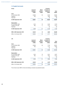## **10. Tangible fixed assets**

| Group                      |                 |              | Furniture,  |              |
|----------------------------|-----------------|--------------|-------------|--------------|
|                            | <b>Land and</b> | <b>Motor</b> | computers & |              |
|                            | buildings       | vehicles     | equipment   | <b>Total</b> |
|                            | £'000s          | £'000s       | £'000s      | £'000s       |
| Cost:                      |                 |              |             |              |
| At 1st October 2009        | 35,368          | 93           | 8,203       | 43,664       |
| Additions                  | 533             |              | 1,803       | 2,336        |
| Disposals                  |                 |              | (3)         | (3)          |
| At 30th September 2010     | 35,901          | 93           | 10,003      | 45,997       |
| <b>Depreciation:</b>       |                 |              |             |              |
| At 1st October 2009        | 1,816           | 70           | 3,432       | 5,318        |
| Charge for the year        | 652             | 11           | 1,751       | 2,414        |
| <b>Disposals</b>           |                 |              | (3)         | (3)          |
| At 30th September 2010     | 2,468           | 81           | 5,180       | 7,729        |
| NBV at 30th September 2010 | 33,433          | 12           | 4,823       | 38,268       |
| NBV at 1st October 2009    | 33,552          | 23           | 4,771       | 38,346       |

| <b>LTA</b>                 |                                        |                                    | Furniture,                         |                 |
|----------------------------|----------------------------------------|------------------------------------|------------------------------------|-----------------|
|                            | <b>Land and</b><br>buildings<br>£'000s | <b>Motor</b><br>vehicles<br>£'000s | computers &<br>equipment<br>£'000s | Total<br>£'000s |
| Cost:                      |                                        |                                    |                                    |                 |
| At 1st October 2009        | 35,368                                 | 93                                 | 7,740                              | 43,201          |
| Additions                  | 533                                    |                                    | 1,731                              | 2,264           |
| Disposals                  |                                        |                                    | (3)                                | (3)             |
| At 30th September 2010     | 35,901                                 | 93                                 | 9,468                              | 45,462          |
| <b>Depreciation:</b>       |                                        |                                    |                                    |                 |
| At 1st October 2009        | 1,816                                  | 70                                 | 3,341                              | 5,227           |
| Charge for the year        | 652                                    | 11                                 | 1,651                              | 2,314           |
| <b>Disposals</b>           |                                        |                                    | (3)                                | (3)             |
| At 30th September 2010     | 2,468                                  | 81                                 | 4,989                              | 7,538           |
| NBV at 30th September 2010 | 33,433                                 | 12                                 | 4,479                              | 37,924          |
| NBV at 1st October 2009    | 33,552                                 | 23                                 | 4,399                              | 37,974          |
|                            |                                        |                                    |                                    |                 |

The net book value ('NBV') of land and buildings comprises long leasehold assets.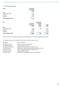## **11. Fixed asset investments**

| Group                  | Third party<br>investments<br>£'000s |
|------------------------|--------------------------------------|
| Cost:                  |                                      |
| At 1st October 2009    | 23,829                               |
| Additions              | 7,833                                |
| <b>Disposals</b>       | (4, 716)                             |
| At 30th September 2010 | 26.946                               |

| <b>LTA</b>             | <b>Subsidiaries</b> |                          |              |  |  |
|------------------------|---------------------|--------------------------|--------------|--|--|
|                        | Third party         | and joint                |              |  |  |
|                        | investments         | venture                  | <b>Total</b> |  |  |
|                        | £'000s              | £'000s                   | £'000s       |  |  |
| Cost:                  |                     |                          |              |  |  |
| At 1st October 2009    | 23,829              | 1,796                    | 25,625       |  |  |
| Additions              | 7,833               | $\overline{\phantom{a}}$ | 7,833        |  |  |
| <b>Disposals</b>       | (4, 716)            | $\overline{\phantom{a}}$ | (4, 716)     |  |  |
| At 30th September 2010 | 26,946              | 1,796                    | 28,742       |  |  |

The market value of the third party investments as at 30th September 2010 was £28,118,000 (2009: £23,453,000).

The subsidiaries below are all incorporated in the UK and are wholly owned by the LTA:

| <b>Subsidiary</b>               | <b>Nature of activities</b>                                    |
|---------------------------------|----------------------------------------------------------------|
| <b>LTA Holdings Limited</b>     | Holding company for LTA subsidiaries                           |
| <b>LTA Nominees Limited</b>     | Nominee company for the LTA                                    |
| <b>LTA Developments Limited</b> | Manages tennis developments on behalf of the LTA               |
| <b>LTA Events Limited</b>       | Facilitates and manages tennis tournaments on behalf of the LT |
| <b>LTA Ground Limited</b>       | Owns and manages properties on behalf of the LTA               |
| <b>LTA Services Limited</b>     | Provides manpower services                                     |
| <b>Tennis GB Limited</b>        | Publishes tennis magazines and other tennis publications       |
|                                 |                                                                |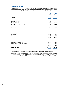## **12. Interest in joint venture**

The joint venture is The Ground Company, in which the LTA owns a 50% share. Its activities are the provision of grounds for tennis and croquet. The share of profits/(losses) of the joint venture is based upon audited financial statements prepared to 31st July 2010. The key financial information in respect of 50% of this entity is as follows:

|                                                 | 2010       | 2009      |
|-------------------------------------------------|------------|-----------|
|                                                 | £'000s     | £'000s    |
| <b>Turnover</b>                                 | 7,363      | 5,357     |
| Operating profit/(loss)                         | 1,597      | (1,093)   |
| Net interest payable                            | (306)      | (1, 327)  |
| Profit/(loss) on ordinary activities before tax | 1,291      | (2, 420)  |
| Tax on ordinary activities                      | (631)      | (380)     |
| Profit/(loss) for the financial year            | 660        | (2,800)   |
| Gross assets                                    |            |           |
| <b>Fixed assets</b>                             | 165,028    | 165,613   |
| <b>Current assets</b>                           | 11,041     | 6,713     |
|                                                 | 176,069    | 172,326   |
| <b>Gross liabilities</b>                        |            |           |
| Liabilities due within one year                 | (17, 569)  | (10, 937) |
| Liabilities due after more than one year        | (27, 713)  | (42, 512) |
|                                                 | (45, 282)  | (53, 449) |
| Debenture premia                                | (109, 301) | (98,051)  |

The LTA's share of the capital commitments in The Ground Company is £4.6m at year end (2009:£9.6m)

In May 2009 the LTA entered into a contract with The Club in respect of The Championships and the distribution of the surplus for the period to 2053. These terms and the conditional disposal of the LTA's investment in The Ground Company to The Club in 2013 secure this long term revenue source and enables the LTA to plan with long term certainty.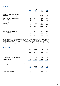## **13. Debtors**

|                                               | Group<br>2010<br>£'000s | Group<br>2009<br>£'000s | <b>LTA</b><br>2010<br>£'000s | <b>LTA</b><br>2009<br>£'000s |
|-----------------------------------------------|-------------------------|-------------------------|------------------------------|------------------------------|
| Amounts falling due within one year:          |                         |                         |                              |                              |
| Trade debtors                                 | 3,083                   | 1,744                   | 2,207                        | 792                          |
| Amounts owed by Group undertakings            |                         |                         | 5,371                        | 5,182                        |
| Amounts owed by The Championships             | 16,002                  | 14,170                  | 16,002                       | 14,170                       |
| Amounts owed by the TF                        | 1,262                   |                         | 1,130                        |                              |
| Loans repayable by places to play             | 868                     | 1,231                   | 868                          | 1,231                        |
| Tennis developments                           | 71                      | 262                     |                              |                              |
| Other debtors                                 | 458                     | 600                     | 236                          |                              |
| Prepayments and accrued income                | 1,460                   | 2,698                   | 1,153                        | 2,366                        |
|                                               | 23,204                  | 20,705                  | 26,967                       | 23,741                       |
| Amounts falling due after more than one year: |                         |                         |                              |                              |
| Loans repayable by places to play             | 11,447                  | 12,589                  | 11,447                       | 12,589                       |
| Tennis developments                           | 4,299                   | 4,207                   |                              |                              |
| Prepayments and accrued income                | 5,313                   | 5,665                   | 5,313                        | 5,665                        |
|                                               | 21,059                  | 22,461                  | 16,760                       | 18,254                       |

Included within amounts falling due after more than one year is £4,299,000 (2009: £4,207,000) that represents amounts repayable over a 20 year period that commenced in 2005 from The West Hants LTC for loans that assisted with the development of the club. In 2006 a moratorium was agreed to defer the instalments due in the calendar years 2007 and 2008, thus extending the repayment period to 22 years. In the current year it was agreed to extend the repayment period to 30 years and repayments are being made on this basis.

## **14. Deferred tax**

|                                                   | Group<br>2010<br>£'000s | Group<br>2009<br>£'000s | <b>LTA</b><br>2010<br>£'000s | <b>LTA</b><br>2009<br>£'000s |
|---------------------------------------------------|-------------------------|-------------------------|------------------------------|------------------------------|
| Asset                                             |                         |                         |                              |                              |
| At 1st October                                    | 1,014                   | 1,000                   | 907                          | 1,000                        |
| Credited/(charged) to the profit and loss account | 406                     | 14                      | 334                          | (93)                         |
| At 30th September                                 | 1,420                   | 1.014                   | 1.241                        | 907                          |

The gross deferred tax assets, of which £1,420,000 (2009: £1,014,000) have been recognised in these financial statements, comprise:

|                               | Group<br>2010<br>£'000s | Group<br>2009<br>£'000s | <b>LTA</b><br>2010<br>£'000s | <b>LTA</b><br>2009<br>£'000s |
|-------------------------------|-------------------------|-------------------------|------------------------------|------------------------------|
| Deferred capital allowances   | 2.043                   | 1.425                   | 1,864                        | 1,412                        |
| Short term timing differences | 127                     | 338                     | 127                          | 245                          |
| Deferred tax assets           | 2,170                   | 1.763                   | 1.991                        | 1,657                        |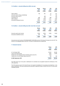## **15. Creditors - amounts falling due within one year**

|                                    | Group<br>2010<br>£'000s  | Group<br>2009<br>£'000s | <b>LTA</b><br>2010<br>£'000s | <b>LTA</b><br>2009<br>£'000s |
|------------------------------------|--------------------------|-------------------------|------------------------------|------------------------------|
| Trade creditors                    | 109                      | 801                     | 54                           | 537                          |
| Amounts owed to Group undertakings | $\overline{\phantom{a}}$ |                         | 142                          | 752                          |
| Amounts owed to the TF             | -                        | 296                     |                              | 335                          |
| Corporation tax                    | 808                      | 218                     | 808                          | 218                          |
| Other creditors                    | 2,997                    | 2,368                   | 2,131                        | 1,684                        |
| Accruals and deferred income       | 6,564                    | 5,478                   | 4,152                        | 3,941                        |
|                                    | 10,478                   | 9,161                   | 7,287                        | 7,467                        |

## **16. Creditors - amounts falling due after more than one year**

|                               | Group  | Group  | <b>LTA</b>               | <b>LTA</b>               |
|-------------------------------|--------|--------|--------------------------|--------------------------|
|                               | 2010   | 2009   | 2010                     | 2009                     |
|                               | £'000s | £'000s | £'000s                   | £'000s                   |
| Amounts owed to joint venture | 6,059  | 6,059  | 6.059                    | 6,059                    |
| Accruals and deferred income  | 505    | 195    | $\overline{\phantom{0}}$ | $\overline{\phantom{0}}$ |
|                               | 6,564  | 6.254  | 6,059                    | 6,059                    |

Amounts due to joint venture of £6,059,000 (2009: £6,059,000) are due to The Ground Company from the LTA. This amount is not repayable before June 2013. This loan is unsecured and is interest free.

## **17. General reserves**

| Group  | <b>LTA</b> |
|--------|------------|
| 2010   | 2010       |
| £'000s | £'000s     |
| 92.043 | 83,289     |
| (878)  | (1,309)    |
| 3,130  |            |
| 180    | 180        |
| 94,475 | 82,160     |
|        |            |

The LTA's funds may not be paid or distributed to its members but are applied towards the furtherance of the LTA's objectives.

The LTA invests any part of its funds that are not required immediately for its purposes and objectives. In the event of dissolution, the funds remaining will be devoted to objectives similar to those of the LTA or to some other charitable purpose.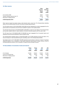## **18. Other reserves**

| Other<br>reserves<br>Group<br>£'000s | <b>Other</b><br><b>Reserves</b><br><b>LTA</b> |        |
|--------------------------------------|-----------------------------------------------|--------|
|                                      |                                               | £'000s |
|                                      |                                               | 48.361 |
|                                      | (3,310)                                       | (180)  |
| 13                                   | 13                                            |        |
| 45,064                               | 35,619                                        |        |
|                                      |                                               |        |

Other reserves include the projects reserve, ticket refunds reserve, loans fund, The Championships rebuilding reserve, the Lord Ritchie library fund and The Ground Company general reserve.

The LTA projects reserve of £6,443,000 (2009: £6,623,000) has been designated as a reserve segregated from the general reserve and represents amounts that are available for grants to fund capital projects.

The LTA ticket refunds reserve of £2,000,000 (2009: £2,000,000) is a reserve for rain delays at The Championships and has been created to allow for major variations in the level of refunds caused by rain from year to year.

The LTA loans fund of £27,000,000 (2009: £27,000,000) has been segregated from the general reserve and represents amounts that are allocated for loans to places to play.

The Championships rebuilding reserve of £9,387,000 (2009: £12,517,000) represents amounts set aside in The Ground Company to meet the potential long term rebuilding costs of The Championships facilities.

The hedging reserve of £177,000 (2009: £164,000) represents amounts taken to reserves in respect of exchange differences arising on the re-translation of fixed asset investments denominated in foreign currency, off-set by exchange differences arising on the re-translation of related forward exchange contracts.

## **19. Reconciliation of movements in funds and reserves**

|                             | Group   | Group   | <b>LTA</b> | <b>LTA</b> |
|-----------------------------|---------|---------|------------|------------|
|                             | 2010    | 2009    | 2010       | 2009       |
|                             | £'000s  | £'000s  | £'000s     | £'000s     |
| At 1st October              | 140.404 | 148.913 | 119.075    | 121,354    |
| Loss for the financial year | (878)   | (8,673) | (1,309)    | (2, 443)   |
| Movement in hedging reserve | 13      | 164     | 13         | 164        |
| At 30th September           | 139,539 | 140.404 | 117,779    | 119,075    |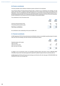## **20. Pension commitments**

The Group operates various defined contribution pension schemes for its employees:

The LTA Group Money Purchase Personal Pension Plan is closed for new contributions and members, but has assets which are held in a separate trustee administered fund. The trustees of the scheme are all officers of the Association. All new contributions for the LTA's employees are paid into the LTA Group Personal Pension Plan or private personal pension plans. All LTA pension plans are funded by contributions from the LTA and the employees. Annual contributions to the scheme by the LTA are related to pensionable salaries.

The contributions to the LTA schemes were:

| 2010   | 2009   |
|--------|--------|
| £'000s | £'000s |
| 465    | 440    |
| 43     | 43     |
| 508    | 483    |
|        |        |

No contributions were outstanding at the year end (2009: £nil)

## **21. Financial commitments**

At 30th September 2010 the Group had annual commitments under non-cancellable operating leases for assets, other than land and buildings, and other financial commitments as follows:

|                                | 2010   | 2009   |
|--------------------------------|--------|--------|
|                                | £'000s | £'000s |
| Operating leases which expire: |        |        |
| within one year                |        | 20     |
| within two to five years       | 429    | 280    |
| after more than five years     |        | -      |
|                                | 430    | 300    |

In addition to the commitments under non-cancellable operating leases noted above, there is £896,000 (2009: £752,000) of loans which have been approved for payment to places to play but have not yet been paid out.

At 30th September 2010 the LTA has forward exchange commitments with a fair value gain of £226,000 (2009: loss £56,000) at the year end exchange rate.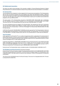## **22. Related party transactions**

The Group has opted to take advantage of the exemption available in Financial Reporting Standard 8: Related Party Disclosures not to disclose transactions between Group entities that have been eliminated on consolidation.

## **The Championships**

The LTA operates a joint arrangement under an agreement for the governance and operation of The Championships with The Club, The Ground Company and The All England Lawn Tennis Club (Wimbledon) Limited. In 2009 and 2010, the Joint Finance Committee of The Championships allocated 100% of the net surplus of The Championships to the LTA. The LTA's share of the surplus of The Championships is based upon the audited financial statements prepared to 31st July 2009 and 2010.

The gross surplus of The Championships amounted to £32,408,000 (2009: £30,612,000). Net of withholding tax and officiating income the surplus receivable by the LTA amounted to £31,002,000 (2009: £29,170,000). The amount due from The Championships at the year end was £16,002,000 (2009: £14,170,000).

The costs of officiating services are charged to The Championships. This represents the LTA's work in partnership with the Association of British Tennis Officials to manage, supply and pay the umpires and other officials each year that work at The Championships. In 2010 the LTA recharged The Championships £862,000 (2009: £917,000) for these services.

In 2010 the LTA received £1,000,000 (2009: £1,000,000) subvention payment from The Championships to help fund and support grass court tournaments in the periods before and after The Championships. The LTA also purchased £1,391,000 (2009: £1,167,000) of tickets at face value from The Championships for onward sale and distribution.

## **Tennis Foundation**

Under agreement, the LTA and the TF run a number of programmes jointly in partnership for the advancement of tennis across the areas of schools, juniors and tennis facilities. 99 employees (2009: 100) are employed jointly by the TF and the LTA to operate and administer these charitable programmes and an appropriate proportion of these costs are recharged to the TF under employment costs.

In 2010 the LTA donated £11,100,000 (2009: £9,400,000) to the TF. During the year the TF was charged £2,207,000 (2009: £2,276,000) for employment costs from the LTA. In addition, the TF was recharged on an arm's length basis £1,577,000 (2009: £840,000) by the LTA for support, administrative and management services to the TF. The amount owed by the TF at the year end was £1,262,000 (2009: owed to £296,000).

During the year The Championships made a charitable donation of £3,000,000 (2009: £3,000,000) to the TF.

## **The All England Lawn Tennis Ground Plc** (The Ground Company)

During the year The Ground Company charged The Championships a facility fee of £13,380,000 (2009: £9,370,000) for the use of the grounds for the tournament. In 2010 the Ground Company charged The Championships costs of £820,000 (2009: £1,487,000) under the Long Term Plan introduced in 1993 for the development of the grounds at Wimbledon.

The LTA has a loan of £6,059,000 owed to The Ground Company. This amount is not repayable before 2013. This loan is unsecured and is interest-free.